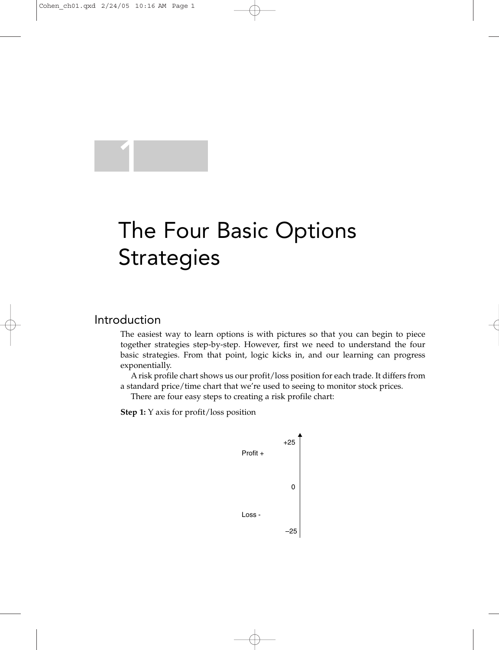# 1

## The Four Basic Options **Strategies**

### Introduction

The easiest way to learn options is with pictures so that you can begin to piece together strategies step-by-step. However, first we need to understand the four basic strategies. From that point, logic kicks in, and our learning can progress exponentially.

A risk profile chart shows us our profit/loss position for each trade. It differs from a standard price/time chart that we're used to seeing to monitor stock prices.

There are four easy steps to creating a risk profile chart:

**Step 1:** Y axis for profit/loss position

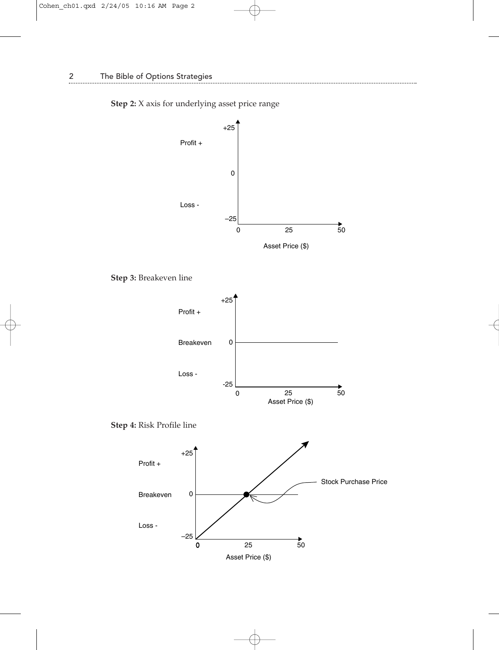

**Step 2:** X axis for underlying asset price range

**Step 3:** Breakeven line



**Step 4:** Risk Profile line

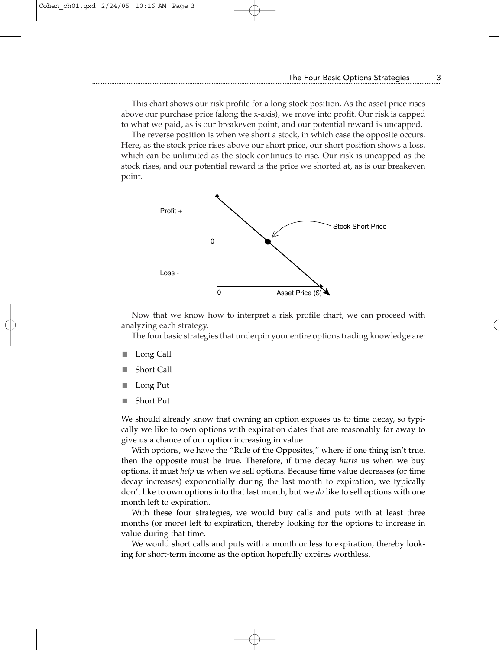This chart shows our risk profile for a long stock position. As the asset price rises above our purchase price (along the x-axis), we move into profit. Our risk is capped to what we paid, as is our breakeven point, and our potential reward is uncapped.

The reverse position is when we short a stock, in which case the opposite occurs. Here, as the stock price rises above our short price, our short position shows a loss, which can be unlimited as the stock continues to rise. Our risk is uncapped as the stock rises, and our potential reward is the price we shorted at, as is our breakeven point.



Now that we know how to interpret a risk profile chart, we can proceed with analyzing each strategy.

The four basic strategies that underpin your entire options trading knowledge are:

- Long Call
- **Short Call**
- Long Put
- **Short Put**

We should already know that owning an option exposes us to time decay, so typically we like to own options with expiration dates that are reasonably far away to give us a chance of our option increasing in value.

With options, we have the "Rule of the Opposites," where if one thing isn't true, then the opposite must be true. Therefore, if time decay *hurts* us when we buy options, it must *help* us when we sell options. Because time value decreases (or time decay increases) exponentially during the last month to expiration, we typically don't like to own options into that last month, but we *do* like to sell options with one month left to expiration.

With these four strategies, we would buy calls and puts with at least three months (or more) left to expiration, thereby looking for the options to increase in value during that time.

We would short calls and puts with a month or less to expiration, thereby looking for short-term income as the option hopefully expires worthless.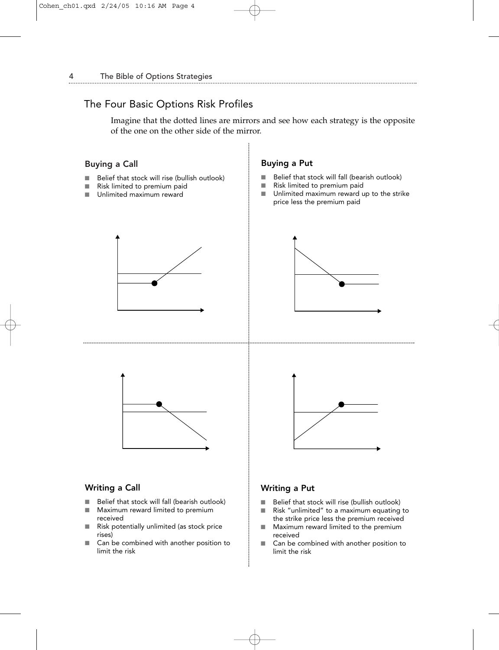### The Four Basic Options Risk Profiles

Imagine that the dotted lines are mirrors and see how each strategy is the opposite of the one on the other side of the mirror.

### Buying a Call

- Belief that stock will rise (bullish outlook)
- Risk limited to premium paid
- Unlimited maximum reward

#### Buying a Put

- Belief that stock will fall (bearish outlook)
- Risk limited to premium paid
- Unlimited maximum reward up to the strike price less the premium paid









### Writing a Call

- Belief that stock will fall (bearish outlook)
- Maximum reward limited to premium received
- Risk potentially unlimited (as stock price rises)
- Can be combined with another position to limit the risk

### Writing a Put

- Belief that stock will rise (bullish outlook)
- Risk "unlimited" to a maximum equating to the strike price less the premium received
- Maximum reward limited to the premium received
- Can be combined with another position to limit the risk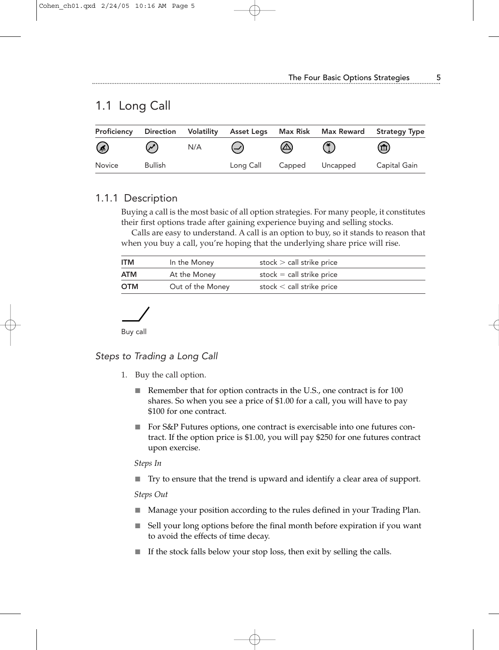### 1.1 Long Call

| Proficiency |                | Direction Volatility | Asset Legs |               | Max Risk Max Reward | <b>Strategy Type</b> |
|-------------|----------------|----------------------|------------|---------------|---------------------|----------------------|
| <b>(</b> a) |                | N/A                  |            | $(\triangle)$ |                     | $\bf (\bar m)$       |
| Novice      | <b>Bullish</b> |                      | Long Call  | Capped        | Uncapped            | Capital Gain         |

### 1.1.1 Description

Buying a call is the most basic of all option strategies. For many people, it constitutes their first options trade after gaining experience buying and selling stocks.

Calls are easy to understand. A call is an option to buy, so it stands to reason that when you buy a call, you're hoping that the underlying share price will rise.

| <b>ITM</b> | In the Money     | stock $>$ call strike price |
|------------|------------------|-----------------------------|
| <b>ATM</b> | At the Money     | stock $=$ call strike price |
| <b>OTM</b> | Out of the Money | stock $<$ call strike price |



Buy call

### *Steps to Trading a Long Call*

- 1. Buy the call option.
	- Remember that for option contracts in the U.S., one contract is for 100 shares. So when you see a price of \$1.00 for a call, you will have to pay \$100 for one contract.
	- For S&P Futures options, one contract is exercisable into one futures contract. If the option price is \$1.00, you will pay \$250 for one futures contract upon exercise.

*Steps In*

■ Try to ensure that the trend is upward and identify a clear area of support.

*Steps Out*

- Manage your position according to the rules defined in your Trading Plan.
- Sell your long options before the final month before expiration if you want to avoid the effects of time decay.
- If the stock falls below your stop loss, then exit by selling the calls.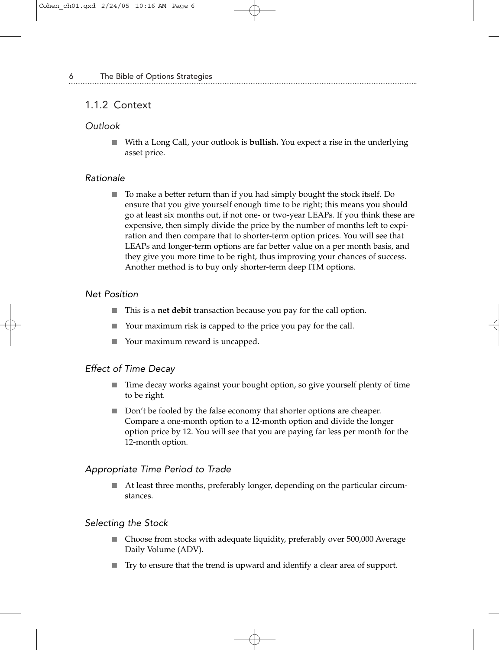### 1.1.2 Context

### *Outlook*

■ With a Long Call, your outlook is **bullish.** You expect a rise in the underlying asset price.

### *Rationale*

■ To make a better return than if you had simply bought the stock itself. Do ensure that you give yourself enough time to be right; this means you should go at least six months out, if not one- or two-year LEAPs. If you think these are expensive, then simply divide the price by the number of months left to expiration and then compare that to shorter-term option prices. You will see that LEAPs and longer-term options are far better value on a per month basis, and they give you more time to be right, thus improving your chances of success. Another method is to buy only shorter-term deep ITM options.

### *Net Position*

- This is a **net debit** transaction because you pay for the call option.
- Your maximum risk is capped to the price you pay for the call.
- Your maximum reward is uncapped.

### *Effect of Time Decay*

- Time decay works against your bought option, so give yourself plenty of time to be right.
- Don't be fooled by the false economy that shorter options are cheaper. Compare a one-month option to a 12-month option and divide the longer option price by 12. You will see that you are paying far less per month for the 12-month option.

### *Appropriate Time Period to Trade*

■ At least three months, preferably longer, depending on the particular circumstances.

### *Selecting the Stock*

- Choose from stocks with adequate liquidity, preferably over 500,000 Average Daily Volume (ADV).
- Try to ensure that the trend is upward and identify a clear area of support.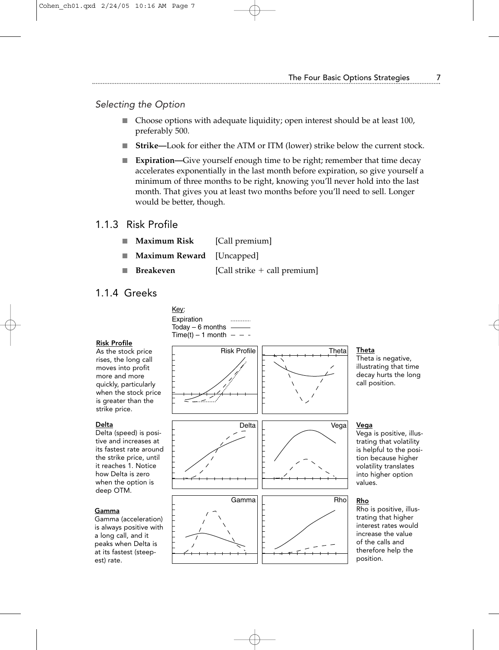### *Selecting the Option*

- Choose options with adequate liquidity; open interest should be at least 100, preferably 500.
- **Strike—**Look for either the ATM or ITM (lower) strike below the current stock.
- **Expiration—**Give yourself enough time to be right; remember that time decay accelerates exponentially in the last month before expiration, so give yourself a minimum of three months to be right, knowing you'll never hold into the last month. That gives you at least two months before you'll need to sell. Longer would be better, though.
- 1.1.3 Risk Profile
	- **Maximum Risk** [Call premium]
	- **Maximum Reward** [Uncapped]
	- **Breakeven** [Call strike + call premium]
- 1.1.4 Greeks



#### Risk Profile

As the stock price rises, the long call moves into profit more and more quickly, particularly when the stock price is greater than the strike price.

#### Delta

Delta (speed) is positive and increases at its fastest rate around the strike price, until it reaches 1. Notice how Delta is zero when the option is deep OTM.

#### Gamma

Gamma (acceleration) is always positive with a long call, and it peaks when Delta is at its fastest (steepest) rate.



#### **Theta**

Theta is negative, illustrating that time decay hurts the long call position.

#### Vega

Vega is positive, illustrating that volatility is helpful to the position because higher volatility translates into higher option values.

#### Rho

Rho is positive, illustrating that higher interest rates would increase the value of the calls and therefore help the position.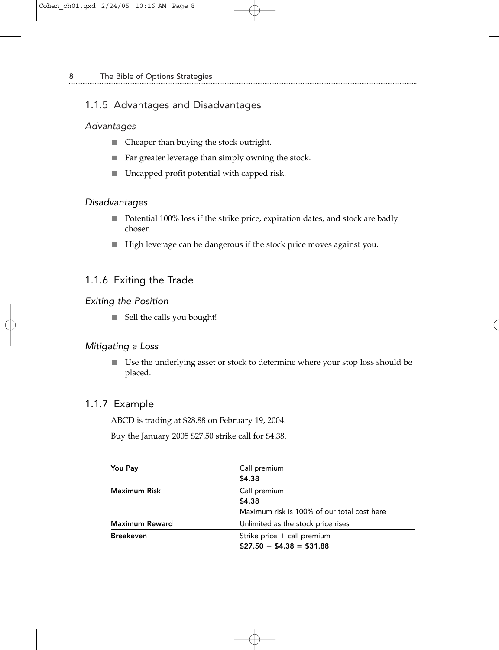### 1.1.5 Advantages and Disadvantages

### *Advantages*

- Cheaper than buying the stock outright.
- Far greater leverage than simply owning the stock.
- Uncapped profit potential with capped risk.

### *Disadvantages*

- Potential 100% loss if the strike price, expiration dates, and stock are badly chosen.
- High leverage can be dangerous if the stock price moves against you.

### 1.1.6 Exiting the Trade

### *Exiting the Position*

■ Sell the calls you bought!

### *Mitigating a Loss*

■ Use the underlying asset or stock to determine where your stop loss should be placed.

### 1.1.7 Example

ABCD is trading at \$28.88 on February 19, 2004.

Buy the January 2005 \$27.50 strike call for \$4.38.

| Call premium                                               |
|------------------------------------------------------------|
| \$4.38                                                     |
| Call premium                                               |
| \$4.38                                                     |
| Maximum risk is 100% of our total cost here                |
| Unlimited as the stock price rises                         |
| Strike price $+$ call premium<br>$$27.50 + $4.38 = $31.88$ |
|                                                            |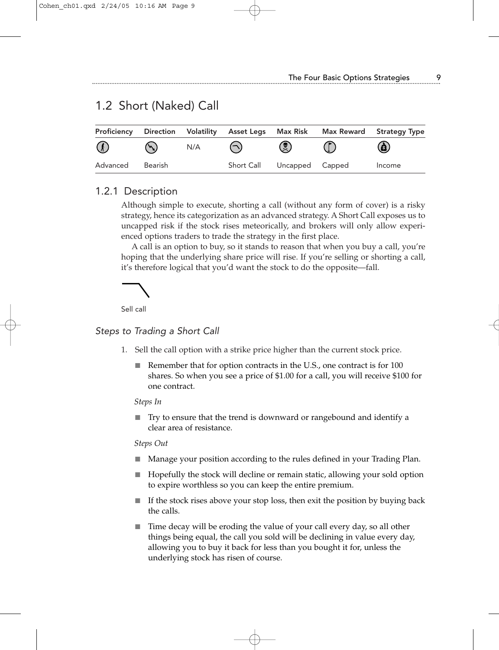### 1.2 Short (Naked) Call

| Proficiency | Direction Volatility |     |            |                 | Asset Legs Max Risk Max Reward Strategy Type |
|-------------|----------------------|-----|------------|-----------------|----------------------------------------------|
| $\Omega$    |                      | N/A | $(\neg)$   | (ছু)            | (Q)                                          |
| Advanced    | <b>Bearish</b>       |     | Short Call | Uncapped Capped | Income                                       |

### 1.2.1 Description

Although simple to execute, shorting a call (without any form of cover) is a risky strategy, hence its categorization as an advanced strategy. A Short Call exposes us to uncapped risk if the stock rises meteorically, and brokers will only allow experienced options traders to trade the strategy in the first place.

A call is an option to buy, so it stands to reason that when you buy a call, you're hoping that the underlying share price will rise. If you're selling or shorting a call, it's therefore logical that you'd want the stock to do the opposite—fall.

### Sell call

#### *Steps to Trading a Short Call*

- 1. Sell the call option with a strike price higher than the current stock price.
	- Remember that for option contracts in the U.S., one contract is for 100 shares. So when you see a price of \$1.00 for a call, you will receive \$100 for one contract.

#### *Steps In*

■ Try to ensure that the trend is downward or rangebound and identify a clear area of resistance.

#### *Steps Out*

- Manage your position according to the rules defined in your Trading Plan.
- Hopefully the stock will decline or remain static, allowing your sold option to expire worthless so you can keep the entire premium.
- If the stock rises above your stop loss, then exit the position by buying back the calls.
- Time decay will be eroding the value of your call every day, so all other things being equal, the call you sold will be declining in value every day, allowing you to buy it back for less than you bought it for, unless the underlying stock has risen of course.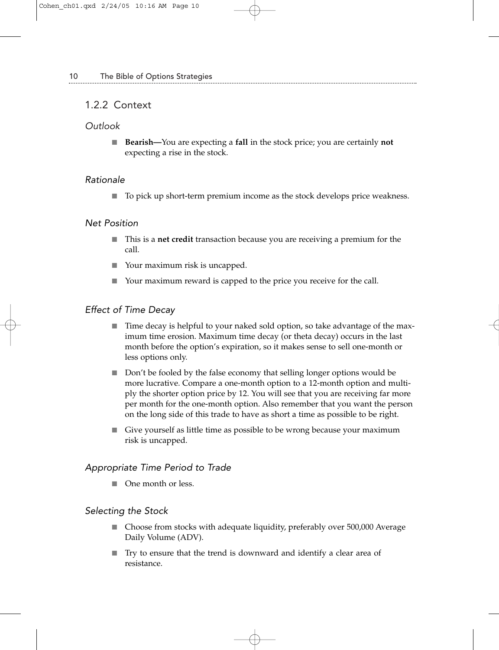### 1.2.2 Context

### *Outlook*

■ **Bearish—**You are expecting a **fall** in the stock price; you are certainly **not** expecting a rise in the stock.

### *Rationale*

■ To pick up short-term premium income as the stock develops price weakness.

### *Net Position*

- This is a **net credit** transaction because you are receiving a premium for the call.
- Your maximum risk is uncapped.
- Your maximum reward is capped to the price you receive for the call.

### *Effect of Time Decay*

- Time decay is helpful to your naked sold option, so take advantage of the maximum time erosion. Maximum time decay (or theta decay) occurs in the last month before the option's expiration, so it makes sense to sell one-month or less options only.
- Don't be fooled by the false economy that selling longer options would be more lucrative. Compare a one-month option to a 12-month option and multiply the shorter option price by 12. You will see that you are receiving far more per month for the one-month option. Also remember that you want the person on the long side of this trade to have as short a time as possible to be right.
- Give yourself as little time as possible to be wrong because your maximum risk is uncapped.

### *Appropriate Time Period to Trade*

■ One month or less.

### *Selecting the Stock*

- Choose from stocks with adequate liquidity, preferably over 500,000 Average Daily Volume (ADV).
- Try to ensure that the trend is downward and identify a clear area of resistance.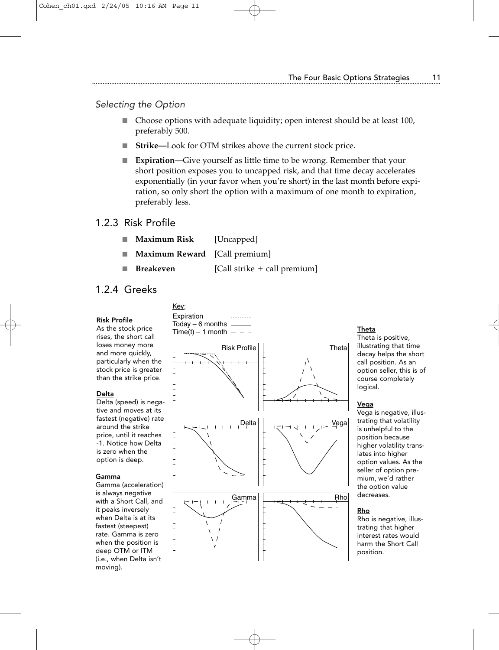### *Selecting the Option*

- Choose options with adequate liquidity; open interest should be at least 100, preferably 500.
- **Strike—**Look for OTM strikes above the current stock price.
- **Expiration—Give yourself as little time to be wrong. Remember that your** short position exposes you to uncapped risk, and that time decay accelerates exponentially (in your favor when you're short) in the last month before expiration, so only short the option with a maximum of one month to expiration, preferably less.
- 1.2.3 Risk Profile
	- **Maximum Risk** [Uncapped]

Key: Expiration

■ **Maximum Reward** [Call premium]

■ **Breakeven** [Call strike + call premium]

............

1.2.4 Greeks

#### Risk Profile

As the stock price rises, the short call loses money more and more quickly, particularly when the stock price is greater than the strike price.

#### Delta

Delta (speed) is negative and moves at its fastest (negative) rate around the strike price, until it reaches -1. Notice how Delta is zero when the option is deep.

#### Gamma

Gamma (acceleration) is always negative with a Short Call, and it peaks inversely when Delta is at its fastest (steepest) rate. Gamma is zero when the position is deep OTM or ITM (i.e., when Delta isn't moving).



#### Theta

Theta is positive, illustrating that time decay helps the short call position. As an option seller, this is of course completely logical.

#### Vega

Vega is negative, illustrating that volatility is unhelpful to the position because higher volatility translates into higher option values. As the seller of option premium, we'd rather the option value decreases.

#### Rho

Rho is negative, illustrating that higher interest rates would harm the Short Call position.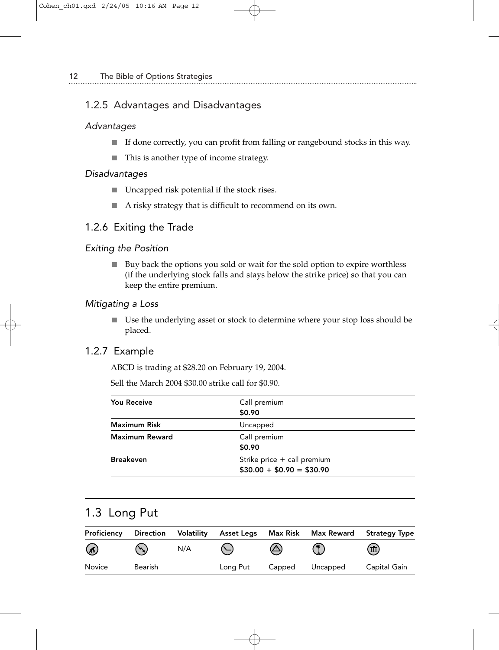### 1.2.5 Advantages and Disadvantages

### *Advantages*

- If done correctly, you can profit from falling or rangebound stocks in this way.
- This is another type of income strategy.

### *Disadvantages*

- Uncapped risk potential if the stock rises.
- A risky strategy that is difficult to recommend on its own.

### 1.2.6 Exiting the Trade

### *Exiting the Position*

■ Buy back the options you sold or wait for the sold option to expire worthless (if the underlying stock falls and stays below the strike price) so that you can keep the entire premium.

### *Mitigating a Loss*

■ Use the underlying asset or stock to determine where your stop loss should be placed.

### 1.2.7 Example

ABCD is trading at \$28.20 on February 19, 2004.

Sell the March 2004 \$30.00 strike call for \$0.90.

| <b>You Receive</b>    | Call premium                                             |
|-----------------------|----------------------------------------------------------|
|                       | \$0.90                                                   |
| <b>Maximum Risk</b>   | Uncapped                                                 |
| <b>Maximum Reward</b> | Call premium                                             |
|                       | \$0.90                                                   |
| <b>Breakeven</b>      | Strike price + call premium<br>$$30.00 + $0.90 = $30.90$ |
|                       |                                                          |

### 1.3 Long Put

| Proficiency |                | Direction Volatility | Asset Legs |        | Max Risk Max Reward | Strategy Type |
|-------------|----------------|----------------------|------------|--------|---------------------|---------------|
| <b>(A)</b>  | $(\searrow)$   | N/A                  |            | (A)    |                     | (血)           |
| Novice      | <b>Bearish</b> |                      | Long Put   | Capped | Uncapped            | Capital Gain  |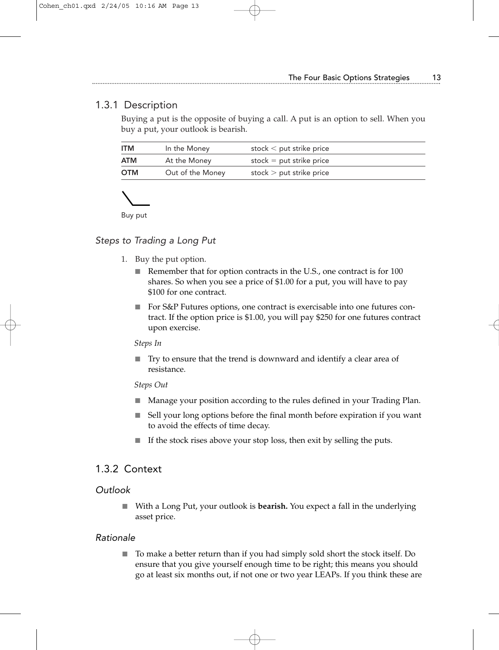### 1.3.1 Description

Buying a put is the opposite of buying a call. A put is an option to sell. When you buy a put, your outlook is bearish.

| <b>ITM</b> | In the Money     | stock $\leq$ put strike price |
|------------|------------------|-------------------------------|
| <b>ATM</b> | At the Money     | stock $=$ put strike price    |
| <b>OTM</b> | Out of the Money | stock $>$ put strike price    |



Buy put

### *Steps to Trading a Long Put*

- 1. Buy the put option.
	- Remember that for option contracts in the U.S., one contract is for 100 shares. So when you see a price of \$1.00 for a put, you will have to pay \$100 for one contract.
	- For S&P Futures options, one contract is exercisable into one futures contract. If the option price is \$1.00, you will pay \$250 for one futures contract upon exercise.

### *Steps In*

■ Try to ensure that the trend is downward and identify a clear area of resistance.

### *Steps Out*

- Manage your position according to the rules defined in your Trading Plan.
- Sell your long options before the final month before expiration if you want to avoid the effects of time decay.
- If the stock rises above your stop loss, then exit by selling the puts.

### 1.3.2 Context

### *Outlook*

■ With a Long Put, your outlook is **bearish.** You expect a fall in the underlying asset price.

### *Rationale*

■ To make a better return than if you had simply sold short the stock itself. Do ensure that you give yourself enough time to be right; this means you should go at least six months out, if not one or two year LEAPs. If you think these are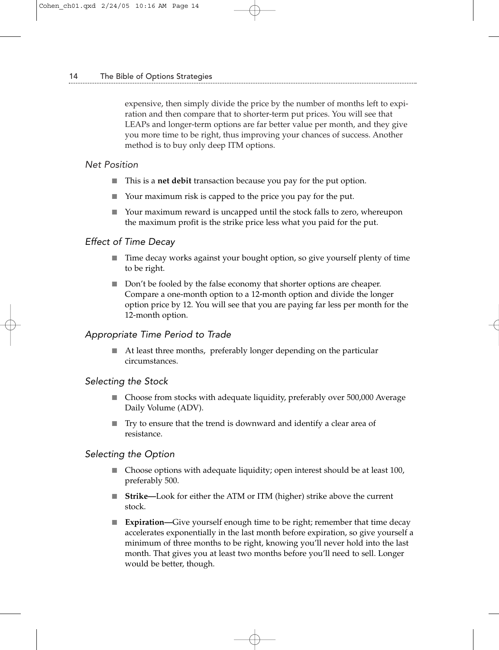expensive, then simply divide the price by the number of months left to expiration and then compare that to shorter-term put prices. You will see that LEAPs and longer-term options are far better value per month, and they give you more time to be right, thus improving your chances of success. Another method is to buy only deep ITM options.

### *Net Position*

- This is a **net debit** transaction because you pay for the put option.
- Your maximum risk is capped to the price you pay for the put.
- Your maximum reward is uncapped until the stock falls to zero, whereupon the maximum profit is the strike price less what you paid for the put.

### *Effect of Time Decay*

- Time decay works against your bought option, so give yourself plenty of time to be right.
- Don't be fooled by the false economy that shorter options are cheaper. Compare a one-month option to a 12-month option and divide the longer option price by 12. You will see that you are paying far less per month for the 12-month option.

### *Appropriate Time Period to Trade*

■ At least three months, preferably longer depending on the particular circumstances.

### *Selecting the Stock*

- Choose from stocks with adequate liquidity, preferably over 500,000 Average Daily Volume (ADV).
- Try to ensure that the trend is downward and identify a clear area of resistance.

### *Selecting the Option*

- Choose options with adequate liquidity; open interest should be at least 100, preferably 500.
- **Strike—**Look for either the ATM or ITM (higher) strike above the current stock.
- **Expiration—**Give yourself enough time to be right; remember that time decay accelerates exponentially in the last month before expiration, so give yourself a minimum of three months to be right, knowing you'll never hold into the last month. That gives you at least two months before you'll need to sell. Longer would be better, though.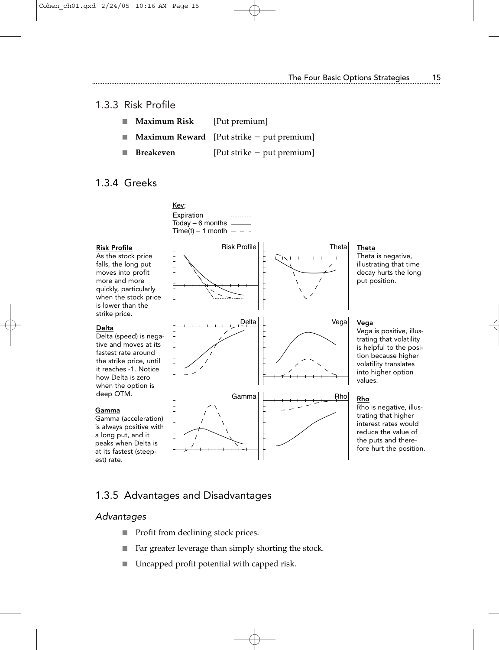### 1.3.3 Risk Profile

**Maximum Risk** [Put premium]

Key: Expiration

- **Maximum Reward** [Put strike put premium]
- **Breakeven** [Put strike put premium]

. . . . . . . . . . . .

### 1.3.4 Greeks

#### Risk Profile

As the stock price falls, the long put moves into profit more and more quickly, particularly when the stock price is lower than the strike price.

#### Delta

Delta (speed) is negative and moves at its fastest rate around the strike price, until it reaches -1. Notice how Delta is zero when the option is deep OTM.

#### Gamma

Gamma (acceleration) is always positive with a long put, and it peaks when Delta is at its fastest (steepest) rate.



#### Theta

Theta is negative, illustrating that time decay hurts the long put position.

#### Vega

Vega is positive, illustrating that volatility is helpful to the position because higher volatility translates into higher option values.

#### Rho

Rho is negative, illustrating that higher interest rates would reduce the value of the puts and therefore hurt the position.

### 1.3.5 Advantages and Disadvantages

### *Advantages*

- Profit from declining stock prices.
- Far greater leverage than simply shorting the stock.
- Uncapped profit potential with capped risk.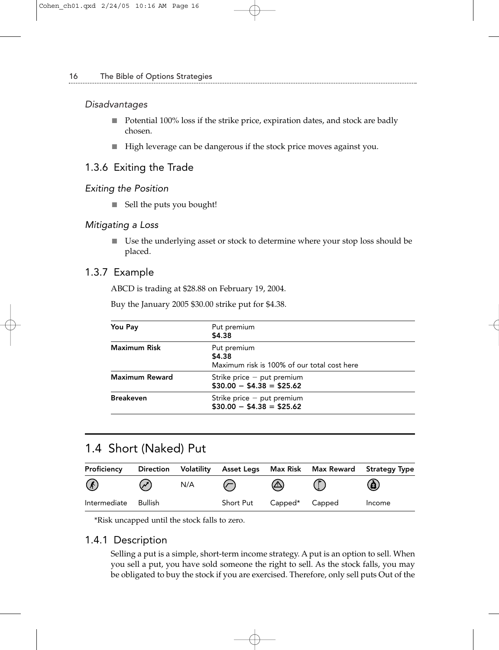### *Disadvantages*

- Potential 100% loss if the strike price, expiration dates, and stock are badly chosen.
- High leverage can be dangerous if the stock price moves against you.

### 1.3.6 Exiting the Trade

### *Exiting the Position*

■ Sell the puts you bought!

### *Mitigating a Loss*

■ Use the underlying asset or stock to determine where your stop loss should be placed.

### 1.3.7 Example

ABCD is trading at \$28.88 on February 19, 2004.

Buy the January 2005 \$30.00 strike put for \$4.38.

| You Pay               | Put premium<br>\$4.38                                                |  |
|-----------------------|----------------------------------------------------------------------|--|
| <b>Maximum Risk</b>   | Put premium<br>\$4.38<br>Maximum risk is 100% of our total cost here |  |
| <b>Maximum Reward</b> | Strike price $-$ put premium<br>$$30.00 - $4.38 = $25.62$            |  |
| <b>Breakeven</b>      | Strike price $-$ put premium<br>$$30.00 - $4.38 = $25.62$            |  |

### 1.4 Short (Naked) Put

| Proficiency               |                 |     |           |               |        | Direction Volatility Asset Legs Max Risk Max Reward Strategy Type |
|---------------------------|-----------------|-----|-----------|---------------|--------|-------------------------------------------------------------------|
| $\mathcal{L}(\mathbf{r})$ | $(\mathcal{N})$ | N/A |           | $(\triangle)$ |        | (Å)                                                               |
| Intermediate              | Bullish         |     | Short Put | Capped*       | Capped | Income                                                            |

\*Risk uncapped until the stock falls to zero.

### 1.4.1 Description

Selling a put is a simple, short-term income strategy. A put is an option to sell. When you sell a put, you have sold someone the right to sell. As the stock falls, you may be obligated to buy the stock if you are exercised. Therefore, only sell puts Out of the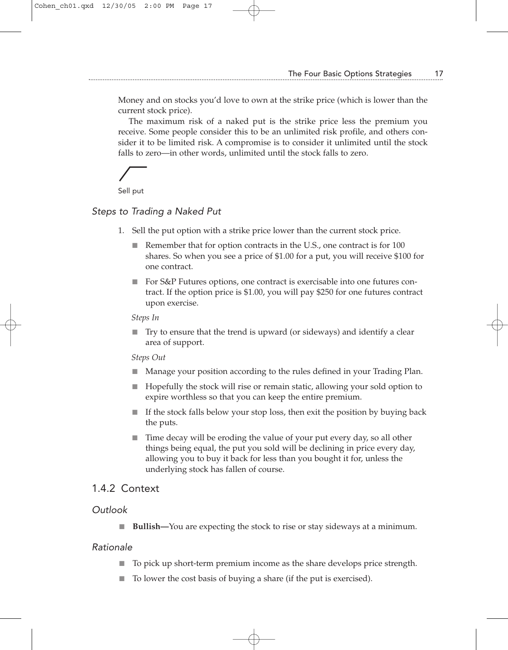Money and on stocks you'd love to own at the strike price (which is lower than the current stock price).

The maximum risk of a naked put is the strike price less the premium you receive. Some people consider this to be an unlimited risk profile, and others consider it to be limited risk. A compromise is to consider it unlimited until the stock falls to zero—in other words, unlimited until the stock falls to zero.

$$
\sqrt{\phantom{a}}
$$

Sell put

### Steps to Trading a Naked Put

- 1. Sell the put option with a strike price lower than the current stock price.
	- Remember that for option contracts in the U.S., one contract is for 100 shares. So when you see a price of \$1.00 for a put, you will receive \$100 for one contract.
	- For S&P Futures options, one contract is exercisable into one futures contract. If the option price is \$1.00, you will pay \$250 for one futures contract upon exercise.

*Steps In*

■ Try to ensure that the trend is upward (or sideways) and identify a clear area of support.

*Steps Out*

- Manage your position according to the rules defined in your Trading Plan.
- Hopefully the stock will rise or remain static, allowing your sold option to expire worthless so that you can keep the entire premium.
- If the stock falls below your stop loss, then exit the position by buying back the puts.
- Time decay will be eroding the value of your put every day, so all other things being equal, the put you sold will be declining in price every day, allowing you to buy it back for less than you bought it for, unless the underlying stock has fallen of course.

### 1.4.2 Context

### Outlook

**Bullish—**You are expecting the stock to rise or stay sideways at a minimum.

### Rationale

- To pick up short-term premium income as the share develops price strength.
- To lower the cost basis of buying a share (if the put is exercised).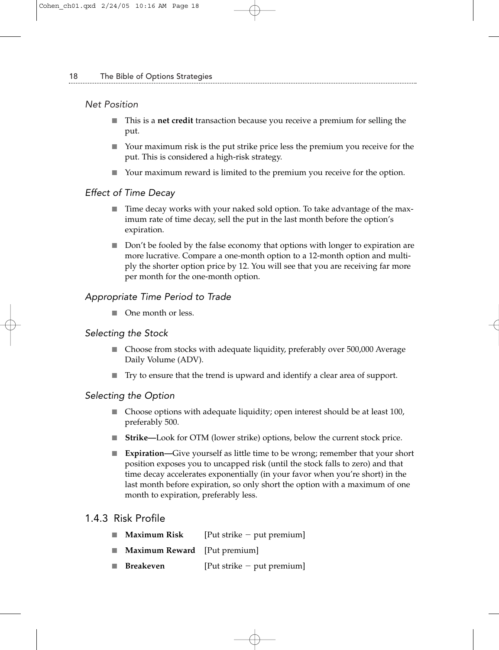### *Net Position*

- This is a **net credit** transaction because you receive a premium for selling the put.
- Your maximum risk is the put strike price less the premium you receive for the put. This is considered a high-risk strategy.
- Your maximum reward is limited to the premium you receive for the option.

### *Effect of Time Decay*

- Time decay works with your naked sold option. To take advantage of the maximum rate of time decay, sell the put in the last month before the option's expiration.
- Don't be fooled by the false economy that options with longer to expiration are more lucrative. Compare a one-month option to a 12-month option and multiply the shorter option price by 12. You will see that you are receiving far more per month for the one-month option.

### *Appropriate Time Period to Trade*

■ One month or less.

### *Selecting the Stock*

- Choose from stocks with adequate liquidity, preferably over 500,000 Average Daily Volume (ADV).
- Try to ensure that the trend is upward and identify a clear area of support.

### *Selecting the Option*

- Choose options with adequate liquidity; open interest should be at least 100, preferably 500.
- **Strike—Look** for OTM (lower strike) options, below the current stock price.
- **Expiration**—Give yourself as little time to be wrong; remember that your short position exposes you to uncapped risk (until the stock falls to zero) and that time decay accelerates exponentially (in your favor when you're short) in the last month before expiration, so only short the option with a maximum of one month to expiration, preferably less.

### 1.4.3 Risk Profile

- **Maximum Risk** [Put strike put premium]
- **Maximum Reward** [Put premium]
- **Breakeven** [Put strike put premium]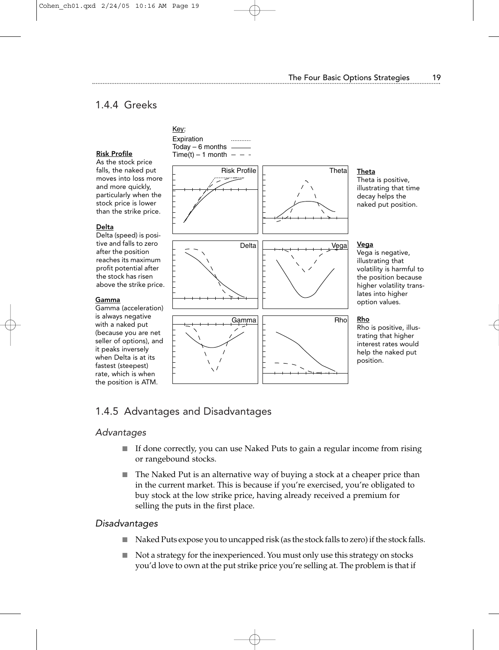### 1.4.4 Greeks

Key: **Expiration** 

. . . . . . . . . . . .

#### Risk Profile

As the stock price falls, the naked put moves into loss more and more quickly, particularly when the stock price is lower than the strike price.

#### Delta

Delta (speed) is positive and falls to zero after the position reaches its maximum profit potential after the stock has risen above the strike price.

#### Gamma

Gamma (acceleration) is always negative with a naked put (because you are net seller of options), and it peaks inversely when Delta is at its fastest (steepest) rate, which is when the position is ATM.



### 1.4.5 Advantages and Disadvantages

#### *Advantages*

- If done correctly, you can use Naked Puts to gain a regular income from rising or rangebound stocks.
- The Naked Put is an alternative way of buying a stock at a cheaper price than in the current market. This is because if you're exercised, you're obligated to buy stock at the low strike price, having already received a premium for selling the puts in the first place.

#### *Disadvantages*

- Naked Puts expose you to uncapped risk (as the stock falls to zero) if the stock falls.
- Not a strategy for the inexperienced. You must only use this strategy on stocks you'd love to own at the put strike price you're selling at. The problem is that if